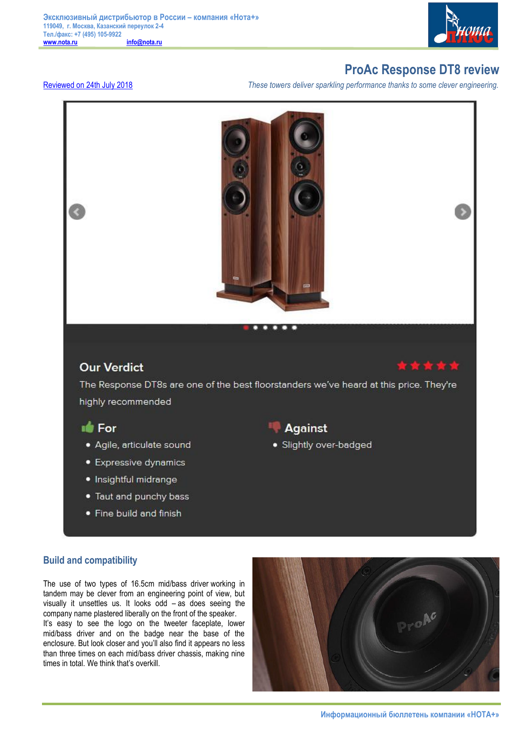

# **ProAc Response DT8 review**

Reviewed on 24th July 2018 *These towers deliver sparkling performance thanks to some clever engineering.* 



## **Build and compatibility**

The use of two types of 16.5cm mid/bass driver working in tandem may be clever from an engineering point of view, but visually it unsettles us. It looks odd – as does seeing the company name plastered liberally on the front of the speaker. It's easy to see the logo on the tweeter faceplate, lower mid/bass driver and on the badge near the base of the enclosure. But look closer and you'll also find it appears no less than three times on each mid/bass driver chassis, making nine times in total. We think that's overkill.

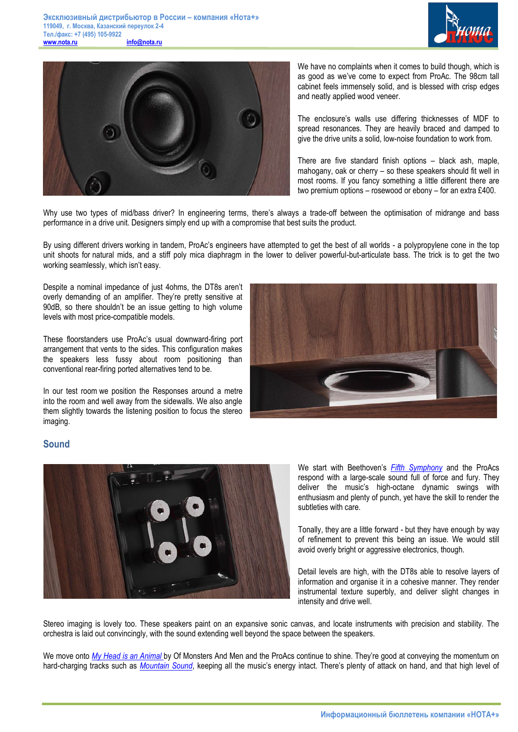



We have no complaints when it comes to build though, which is as good as we've come to expect from ProAc. The 98cm tall cabinet feels immensely solid, and is blessed with crisp edges and neatly applied wood veneer.

The enclosure's walls use differing thicknesses of MDF to spread resonances. They are heavily braced and damped to give the drive units a solid, low-noise foundation to work from.

There are five standard finish options – black ash, maple, mahogany, oak or cherry – so these speakers should fit well in most rooms. If you fancy something a little different there are two premium options – rosewood or ebony – for an extra £400.

Why use two types of mid/bass driver? In engineering terms, there's always a trade-off between the optimisation of midrange and bass performance in a drive unit. Designers simply end up with a compromise that best suits the product.

By using different drivers working in tandem, ProAc's engineers have attempted to get the best of all worlds - a polypropylene cone in the top unit shoots for natural mids, and a stiff poly mica diaphragm in the lower to deliver powerful-but-articulate bass. The trick is to get the two working seamlessly, which isn't easy.

Despite a nominal impedance of just 4ohms, the DT8s aren't overly demanding of an amplifier. They're pretty sensitive at 90dB, so there shouldn't be an issue getting to high volume levels with most price-compatible models.

These floorstanders use ProAc's usual downward-firing port arrangement that vents to the sides. This configuration makes the speakers less fussy about room positioning than conventional rear-firing ported alternatives tend to be.

In our test room we position the Responses around a metre into the room and well away from the sidewalls. We also angle them slightly towards the listening position to focus the stereo imaging.



### **Sound**



We start with Beethoven's *Fifth Symphony* and the ProAcs respond with a large-scale sound full of force and fury. They deliver the music's high-octane dynamic swings with enthusiasm and plenty of punch, yet have the skill to render the subtleties with care.

Tonally, they are a little forward - but they have enough by way of refinement to prevent this being an issue. We would still avoid overly bright or aggressive electronics, though.

Detail levels are high, with the DT8s able to resolve layers of information and organise it in a cohesive manner. They render instrumental texture superbly, and deliver slight changes in intensity and drive well.

Stereo imaging is lovely too. These speakers paint on an expansive sonic canvas, and locate instruments with precision and stability. The orchestra is laid out convincingly, with the sound extending well beyond the space between the speakers.

We move onto *My Head is an Animal* by Of Monsters And Men and the ProAcs continue to shine. They're good at conveying the momentum on hard-charging tracks such as *Mountain Sound*, keeping all the music's energy intact. There's plenty of attack on hand, and that high level of